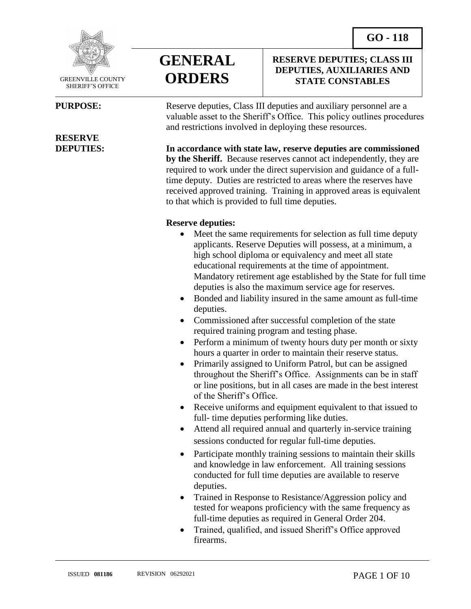**RESERVE DEPUTIES; CLASS III DEPUTIES, AUXILIARIES AND STATE CONSTABLES**



 GREENVILLE COUNTY SHERIFF'S OFFICE

 $\overline{a}$ 

## **RESERVE**



**PURPOSE:** Reserve deputies, Class III deputies and auxiliary personnel are a valuable asset to the Sheriff's Office. This policy outlines procedures and restrictions involved in deploying these resources.

**DEPUTIES: In accordance with state law, reserve deputies are commissioned by the Sheriff.** Because reserves cannot act independently, they are required to work under the direct supervision and guidance of a fulltime deputy. Duties are restricted to areas where the reserves have received approved training. Training in approved areas is equivalent to that which is provided to full time deputies.

#### **Reserve deputies:**

- Meet the same requirements for selection as full time deputy applicants. Reserve Deputies will possess, at a minimum, a high school diploma or equivalency and meet all state educational requirements at the time of appointment. Mandatory retirement age established by the State for full time deputies is also the maximum service age for reserves.
- Bonded and liability insured in the same amount as full-time deputies.
- Commissioned after successful completion of the state required training program and testing phase.
- Perform a minimum of twenty hours duty per month or sixty hours a quarter in order to maintain their reserve status.
- Primarily assigned to Uniform Patrol, but can be assigned throughout the Sheriff's Office. Assignments can be in staff or line positions, but in all cases are made in the best interest of the Sheriff's Office.
- Receive uniforms and equipment equivalent to that issued to full- time deputies performing like duties.
- Attend all required annual and quarterly in-service training sessions conducted for regular full-time deputies.
- Participate monthly training sessions to maintain their skills and knowledge in law enforcement. All training sessions conducted for full time deputies are available to reserve deputies.
- Trained in Response to Resistance/Aggression policy and tested for weapons proficiency with the same frequency as full-time deputies as required in General Order 204.
- Trained, qualified, and issued Sheriff's Office approved firearms.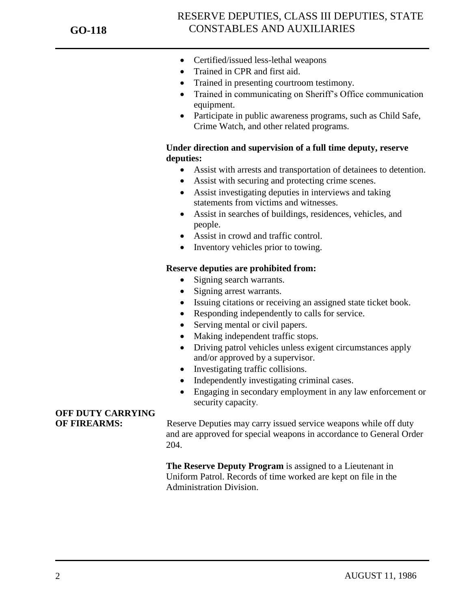- Certified/issued less-lethal weapons
- Trained in CPR and first aid.
- Trained in presenting courtroom testimony.
- Trained in communicating on Sheriff's Office communication equipment.
- Participate in public awareness programs, such as Child Safe, Crime Watch, and other related programs.

#### **Under direction and supervision of a full time deputy, reserve deputies:**

- Assist with arrests and transportation of detainees to detention.
- Assist with securing and protecting crime scenes.
- Assist investigating deputies in interviews and taking statements from victims and witnesses.
- Assist in searches of buildings, residences, vehicles, and people.
- Assist in crowd and traffic control.
- Inventory vehicles prior to towing.

#### **Reserve deputies are prohibited from:**

- Signing search warrants.
- Signing arrest warrants.
- Issuing citations or receiving an assigned state ticket book.
- Responding independently to calls for service.
- Serving mental or civil papers.
- Making independent traffic stops.
- Driving patrol vehicles unless exigent circumstances apply and/or approved by a supervisor.
- Investigating traffic collisions.
- Independently investigating criminal cases.
- Engaging in secondary employment in any law enforcement or security capacity.

### **OFF DUTY CARRYING**

**OF FIREARMS:** Reserve Deputies may carry issued service weapons while off duty and are approved for special weapons in accordance to General Order 204.

> **The Reserve Deputy Program** is assigned to a Lieutenant in Uniform Patrol. Records of time worked are kept on file in the Administration Division.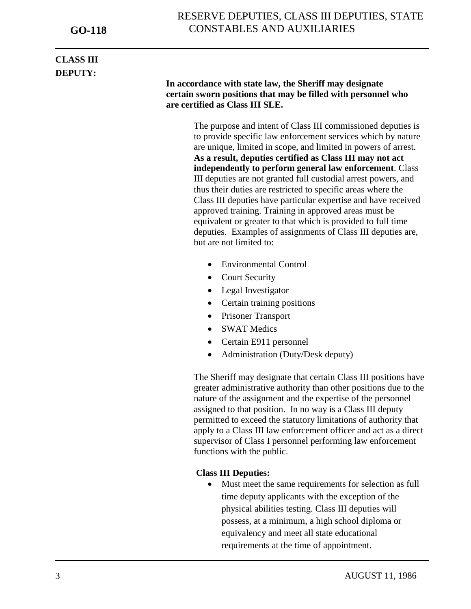### RESERVE DEPUTIES, CLASS III DEPUTIES, STATE CONSTABLES AND AUXILIARIES

### **CLASS III DEPUTY:**

j

#### **In accordance with state law, the Sheriff may designate certain sworn positions that may be filled with personnel who are certified as Class III SLE.**

The purpose and intent of Class III commissioned deputies is to provide specific law enforcement services which by nature are unique, limited in scope, and limited in powers of arrest. **As a result, deputies certified as Class III may not act independently to perform general law enforcement**. Class III deputies are not granted full custodial arrest powers, and thus their duties are restricted to specific areas where the Class III deputies have particular expertise and have received approved training. Training in approved areas must be equivalent or greater to that which is provided to full time deputies. Examples of assignments of Class III deputies are, but are not limited to:

- Environmental Control
- Court Security
- Legal Investigator
- Certain training positions
- Prisoner Transport
- SWAT Medics
- Certain E911 personnel
- Administration (Duty/Desk deputy)

The Sheriff may designate that certain Class III positions have greater administrative authority than other positions due to the nature of the assignment and the expertise of the personnel assigned to that position. In no way is a Class III deputy permitted to exceed the statutory limitations of authority that apply to a Class III law enforcement officer and act as a direct supervisor of Class I personnel performing law enforcement functions with the public.

#### **Class III Deputies:**

• Must meet the same requirements for selection as full time deputy applicants with the exception of the physical abilities testing. Class III deputies will possess, at a minimum, a high school diploma or equivalency and meet all state educational requirements at the time of appointment.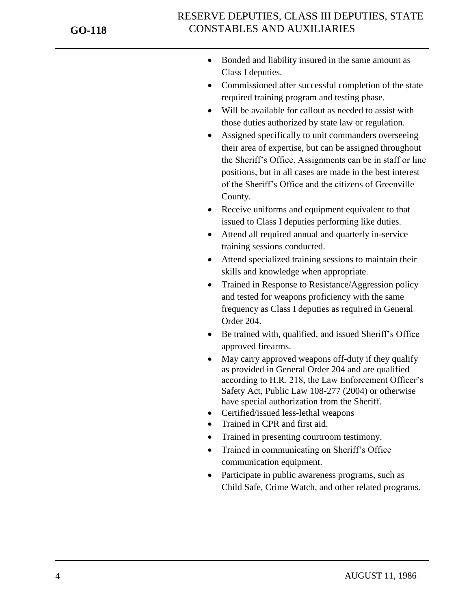- Bonded and liability insured in the same amount as Class I deputies.
- Commissioned after successful completion of the state required training program and testing phase.
- Will be available for callout as needed to assist with those duties authorized by state law or regulation.
- Assigned specifically to unit commanders overseeing their area of expertise, but can be assigned throughout the Sheriff's Office. Assignments can be in staff or line positions, but in all cases are made in the best interest of the Sheriff's Office and the citizens of Greenville County.
- Receive uniforms and equipment equivalent to that issued to Class I deputies performing like duties.
- Attend all required annual and quarterly in-service training sessions conducted.
- Attend specialized training sessions to maintain their skills and knowledge when appropriate.
- Trained in Response to Resistance/Aggression policy and tested for weapons proficiency with the same frequency as Class I deputies as required in General Order 204.
- Be trained with, qualified, and issued Sheriff's Office approved firearms.
- May carry approved weapons off-duty if they qualify as provided in General Order 204 and are qualified according to H.R. 218, the Law Enforcement Officer's Safety Act, Public Law 108-277 (2004) or otherwise have special authorization from the Sheriff.
- Certified/issued less-lethal weapons
- Trained in CPR and first aid.
- Trained in presenting courtroom testimony.
- Trained in communicating on Sheriff's Office communication equipment.
- Participate in public awareness programs, such as Child Safe, Crime Watch, and other related programs.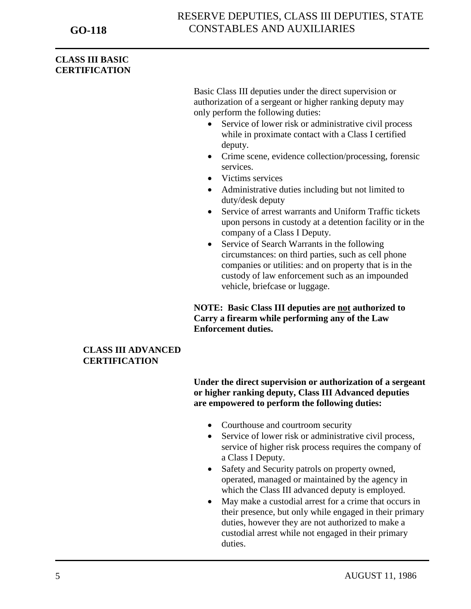#### **CLASS III BASIC CERTIFICATION**

Basic Class III deputies under the direct supervision or authorization of a sergeant or higher ranking deputy may only perform the following duties:

- Service of lower risk or administrative civil process while in proximate contact with a Class I certified deputy.
- Crime scene, evidence collection/processing, forensic services.
- Victims services
- Administrative duties including but not limited to duty/desk deputy
- Service of arrest warrants and Uniform Traffic tickets upon persons in custody at a detention facility or in the company of a Class I Deputy.
- Service of Search Warrants in the following circumstances: on third parties, such as cell phone companies or utilities: and on property that is in the custody of law enforcement such as an impounded vehicle, briefcase or luggage.

**NOTE: Basic Class III deputies are not authorized to Carry a firearm while performing any of the Law Enforcement duties.**

#### **CLASS III ADVANCED CERTIFICATION**

**Under the direct supervision or authorization of a sergeant or higher ranking deputy, Class III Advanced deputies are empowered to perform the following duties:**

- Courthouse and courtroom security
- Service of lower risk or administrative civil process, service of higher risk process requires the company of a Class I Deputy.
- Safety and Security patrols on property owned, operated, managed or maintained by the agency in which the Class III advanced deputy is employed.
- May make a custodial arrest for a crime that occurs in their presence, but only while engaged in their primary duties, however they are not authorized to make a custodial arrest while not engaged in their primary duties.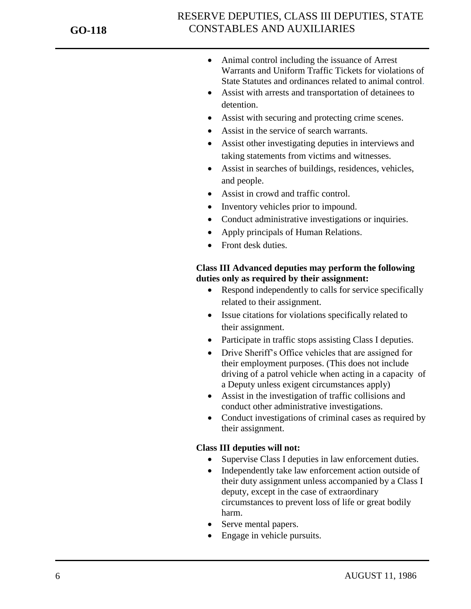### RESERVE DEPUTIES, CLASS III DEPUTIES, STATE CONSTABLES AND AUXILIARIES

- Animal control including the issuance of Arrest Warrants and Uniform Traffic Tickets for violations of State Statutes and ordinances related to animal control.
- Assist with arrests and transportation of detainees to detention.
- Assist with securing and protecting crime scenes.
- Assist in the service of search warrants.
- Assist other investigating deputies in interviews and taking statements from victims and witnesses.
- Assist in searches of buildings, residences, vehicles, and people.
- Assist in crowd and traffic control.
- Inventory vehicles prior to impound.
- Conduct administrative investigations or inquiries.
- Apply principals of Human Relations.
- Front desk duties.

#### **Class III Advanced deputies may perform the following duties only as required by their assignment:**

- Respond independently to calls for service specifically related to their assignment.
- Issue citations for violations specifically related to their assignment.
- Participate in traffic stops assisting Class I deputies.
- Drive Sheriff's Office vehicles that are assigned for their employment purposes. (This does not include driving of a patrol vehicle when acting in a capacity of a Deputy unless exigent circumstances apply)
- Assist in the investigation of traffic collisions and conduct other administrative investigations.
- Conduct investigations of criminal cases as required by their assignment.

#### **Class III deputies will not:**

- Supervise Class I deputies in law enforcement duties.
- Independently take law enforcement action outside of their duty assignment unless accompanied by a Class I deputy, except in the case of extraordinary circumstances to prevent loss of life or great bodily harm.
- Serve mental papers.
- Engage in vehicle pursuits.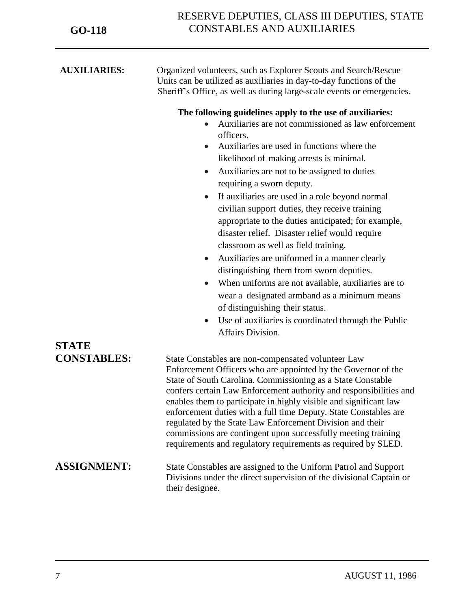| <b>AUXILIARIES:</b> | Organized volunteers, such as Explorer Scouts and Search/Rescue<br>Units can be utilized as auxiliaries in day-to-day functions of the<br>Sheriff's Office, as well as during large-scale events or emergencies.                                                                                                                                                                                                                                                                                                                                                                                                                                                                                                                                                                                                                                                                                                       |
|---------------------|------------------------------------------------------------------------------------------------------------------------------------------------------------------------------------------------------------------------------------------------------------------------------------------------------------------------------------------------------------------------------------------------------------------------------------------------------------------------------------------------------------------------------------------------------------------------------------------------------------------------------------------------------------------------------------------------------------------------------------------------------------------------------------------------------------------------------------------------------------------------------------------------------------------------|
|                     | The following guidelines apply to the use of auxiliaries:<br>Auxiliaries are not commissioned as law enforcement<br>officers.<br>Auxiliaries are used in functions where the<br>likelihood of making arrests is minimal.<br>Auxiliaries are not to be assigned to duties<br>$\bullet$<br>requiring a sworn deputy.<br>If auxiliaries are used in a role beyond normal<br>$\bullet$<br>civilian support duties, they receive training<br>appropriate to the duties anticipated; for example,<br>disaster relief. Disaster relief would require<br>classroom as well as field training.<br>Auxiliaries are uniformed in a manner clearly<br>distinguishing them from sworn deputies.<br>When uniforms are not available, auxiliaries are to<br>wear a designated armband as a minimum means<br>of distinguishing their status.<br>Use of auxiliaries is coordinated through the Public<br>$\bullet$<br>Affairs Division. |
| <b>STATE</b>        |                                                                                                                                                                                                                                                                                                                                                                                                                                                                                                                                                                                                                                                                                                                                                                                                                                                                                                                        |
| <b>CONSTABLES:</b>  | State Constables are non-compensated volunteer Law<br>Enforcement Officers who are appointed by the Governor of the<br>State of South Carolina. Commissioning as a State Constable<br>confers certain Law Enforcement authority and responsibilities and<br>enables them to participate in highly visible and significant law<br>enforcement duties with a full time Deputy. State Constables are<br>regulated by the State Law Enforcement Division and their<br>commissions are contingent upon successfully meeting training<br>requirements and regulatory requirements as required by SLED.                                                                                                                                                                                                                                                                                                                       |
| <b>ASSIGNMENT:</b>  | State Constables are assigned to the Uniform Patrol and Support<br>Divisions under the direct supervision of the divisional Captain or<br>their designee.                                                                                                                                                                                                                                                                                                                                                                                                                                                                                                                                                                                                                                                                                                                                                              |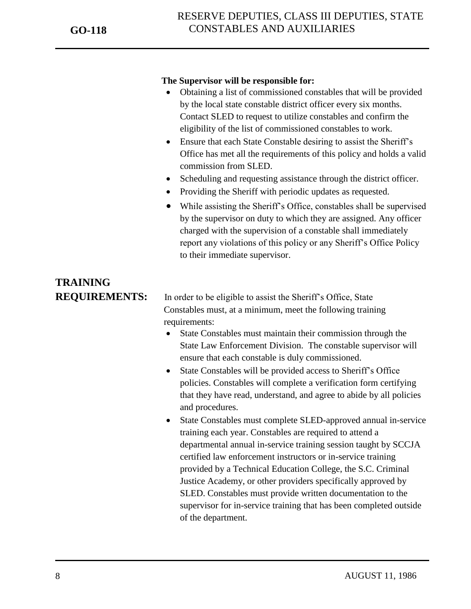#### **The Supervisor will be responsible for:**

- Obtaining a list of commissioned constables that will be provided by the local state constable district officer every six months. Contact SLED to request to utilize constables and confirm the eligibility of the list of commissioned constables to work.
- Ensure that each State Constable desiring to assist the Sheriff's Office has met all the requirements of this policy and holds a valid commission from SLED.
- Scheduling and requesting assistance through the district officer.
- Providing the Sheriff with periodic updates as requested.
- While assisting the Sheriff's Office, constables shall be supervised by the supervisor on duty to which they are assigned. Any officer charged with the supervision of a constable shall immediately report any violations of this policy or any Sheriff's Office Policy to their immediate supervisor.

# **TRAINING**

**REQUIREMENTS:** In order to be eligible to assist the Sheriff's Office, State Constables must, at a minimum, meet the following training requirements:

- State Constables must maintain their commission through the State Law Enforcement Division. The constable supervisor will ensure that each constable is duly commissioned.
- State Constables will be provided access to Sheriff's Office policies. Constables will complete a verification form certifying that they have read, understand, and agree to abide by all policies and procedures.
- State Constables must complete SLED-approved annual in-service training each year. Constables are required to attend a departmental annual in-service training session taught by SCCJA certified law enforcement instructors or in-service training provided by a Technical Education College, the S.C. Criminal Justice Academy, or other providers specifically approved by SLED. Constables must provide written documentation to the supervisor for in-service training that has been completed outside of the department.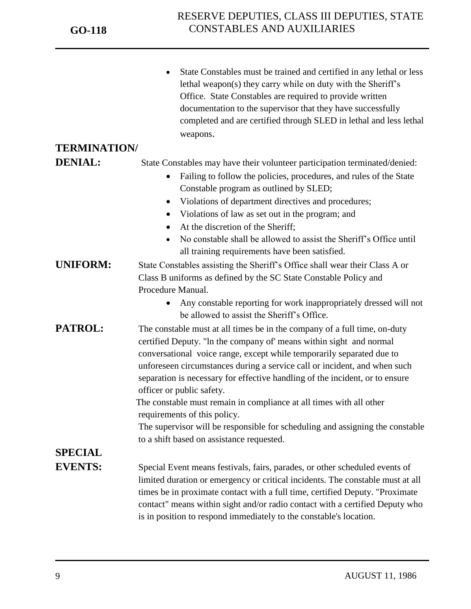|                     | State Constables must be trained and certified in any lethal or less<br>lethal weapon(s) they carry while on duty with the Sheriff's<br>Office. State Constables are required to provide written<br>documentation to the supervisor that they have successfully<br>completed and are certified through SLED in lethal and less lethal<br>weapons.                                                                   |  |
|---------------------|---------------------------------------------------------------------------------------------------------------------------------------------------------------------------------------------------------------------------------------------------------------------------------------------------------------------------------------------------------------------------------------------------------------------|--|
| <b>TERMINATION/</b> |                                                                                                                                                                                                                                                                                                                                                                                                                     |  |
| <b>DENIAL:</b>      | State Constables may have their volunteer participation terminated/denied:                                                                                                                                                                                                                                                                                                                                          |  |
|                     | Failing to follow the policies, procedures, and rules of the State                                                                                                                                                                                                                                                                                                                                                  |  |
|                     | Constable program as outlined by SLED;                                                                                                                                                                                                                                                                                                                                                                              |  |
|                     | Violations of department directives and procedures;                                                                                                                                                                                                                                                                                                                                                                 |  |
|                     | Violations of law as set out in the program; and<br>$\bullet$                                                                                                                                                                                                                                                                                                                                                       |  |
|                     | At the discretion of the Sheriff;                                                                                                                                                                                                                                                                                                                                                                                   |  |
|                     | No constable shall be allowed to assist the Sheriff's Office until                                                                                                                                                                                                                                                                                                                                                  |  |
|                     | all training requirements have been satisfied.                                                                                                                                                                                                                                                                                                                                                                      |  |
| <b>UNIFORM:</b>     | State Constables assisting the Sheriff's Office shall wear their Class A or                                                                                                                                                                                                                                                                                                                                         |  |
|                     | Class B uniforms as defined by the SC State Constable Policy and                                                                                                                                                                                                                                                                                                                                                    |  |
|                     | Procedure Manual.                                                                                                                                                                                                                                                                                                                                                                                                   |  |
|                     | Any constable reporting for work inappropriately dressed will not<br>be allowed to assist the Sheriff's Office.                                                                                                                                                                                                                                                                                                     |  |
| PATROL:             | The constable must at all times be in the company of a full time, on-duty<br>certified Deputy. "In the company of' means within sight and normal<br>conversational voice range, except while temporarily separated due to<br>unforeseen circumstances during a service call or incident, and when such<br>separation is necessary for effective handling of the incident, or to ensure<br>officer or public safety. |  |
|                     | The constable must remain in compliance at all times with all other                                                                                                                                                                                                                                                                                                                                                 |  |
|                     | requirements of this policy.                                                                                                                                                                                                                                                                                                                                                                                        |  |
|                     | The supervisor will be responsible for scheduling and assigning the constable                                                                                                                                                                                                                                                                                                                                       |  |
|                     | to a shift based on assistance requested.                                                                                                                                                                                                                                                                                                                                                                           |  |
| <b>SPECIAL</b>      |                                                                                                                                                                                                                                                                                                                                                                                                                     |  |
| <b>EVENTS:</b>      | Special Event means festivals, fairs, parades, or other scheduled events of                                                                                                                                                                                                                                                                                                                                         |  |
|                     | limited duration or emergency or critical incidents. The constable must at all                                                                                                                                                                                                                                                                                                                                      |  |
|                     | times be in proximate contact with a full time, certified Deputy. "Proximate                                                                                                                                                                                                                                                                                                                                        |  |
|                     | contact" means within sight and/or radio contact with a certified Deputy who                                                                                                                                                                                                                                                                                                                                        |  |
|                     | is in position to respond immediately to the constable's location.                                                                                                                                                                                                                                                                                                                                                  |  |